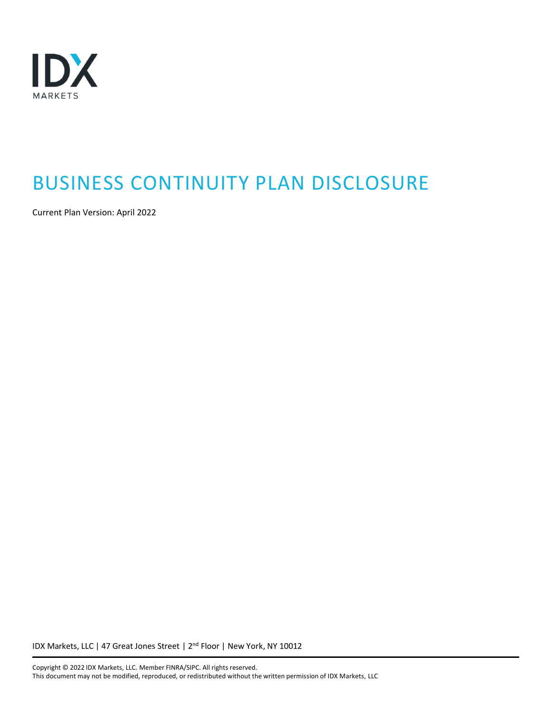

# BUSINESS CONTINUITY PLAN DISCLOSURE

Current Plan Version: April 2022

IDX Markets, LLC | 47 Great Jones Street | 2<sup>nd</sup> Floor | New York, NY 10012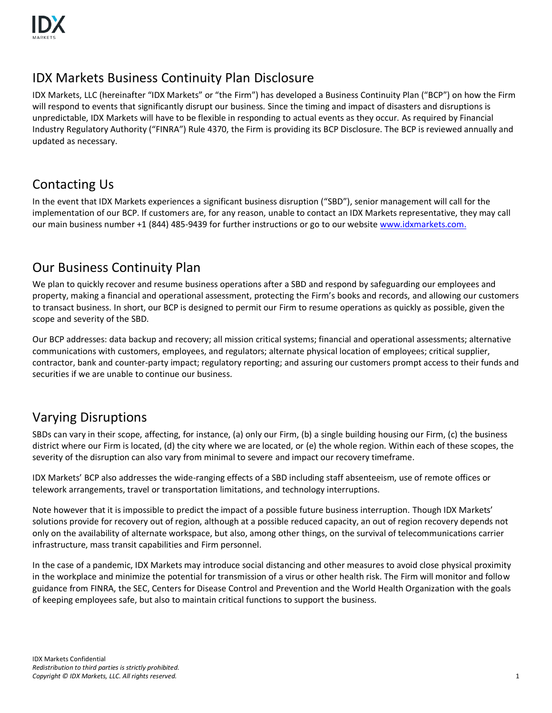

## IDX Markets Business Continuity Plan Disclosure

IDX Markets, LLC (hereinafter "IDX Markets" or "the Firm") has developed a Business Continuity Plan ("BCP") on how the Firm will respond to events that significantly disrupt our business. Since the timing and impact of disasters and disruptions is unpredictable, IDX Markets will have to be flexible in responding to actual events as they occur. As required by Financial Industry Regulatory Authority ("FINRA") Rule 4370, the Firm is providing its BCP Disclosure. The BCP is reviewed annually and updated as necessary.

## Contacting Us

In the event that IDX Markets experiences a significant business disruption ("SBD"), senior management will call for the implementation of our BCP. If customers are, for any reason, unable to contact an IDX Markets representative, they may call our main business number +1 (844) 485-9439 for further instructions or go to our websit[e www.idxmarkets.com.](http://www.idxmarkets.com/)

#### Our Business Continuity Plan

We plan to quickly recover and resume business operations after a SBD and respond by safeguarding our employees and property, making a financial and operational assessment, protecting the Firm's books and records, and allowing our customers to transact business. In short, our BCP is designed to permit our Firm to resume operations as quickly as possible, given the scope and severity of the SBD.

Our BCP addresses: data backup and recovery; all mission critical systems; financial and operational assessments; alternative communications with customers, employees, and regulators; alternate physical location of employees; critical supplier, contractor, bank and counter-party impact; regulatory reporting; and assuring our customers prompt access to their funds and securities if we are unable to continue our business.

#### Varying Disruptions

SBDs can vary in their scope, affecting, for instance, (a) only our Firm, (b) a single building housing our Firm, (c) the business district where our Firm is located, (d) the city where we are located, or (e) the whole region. Within each of these scopes, the severity of the disruption can also vary from minimal to severe and impact our recovery timeframe.

IDX Markets' BCP also addresses the wide-ranging effects of a SBD including staff absenteeism, use of remote offices or telework arrangements, travel or transportation limitations, and technology interruptions.

Note however that it is impossible to predict the impact of a possible future business interruption. Though IDX Markets' solutions provide for recovery out of region, although at a possible reduced capacity, an out of region recovery depends not only on the availability of alternate workspace, but also, among other things, on the survival of telecommunications carrier infrastructure, mass transit capabilities and Firm personnel.

In the case of a pandemic, IDX Markets may introduce social distancing and other measures to avoid close physical proximity in the workplace and minimize the potential for transmission of a virus or other health risk. The Firm will monitor and follow guidance from FINRA, the SEC, Centers for Disease Control and Prevention and the World Health Organization with the goals of keeping employees safe, but also to maintain critical functions to support the business.